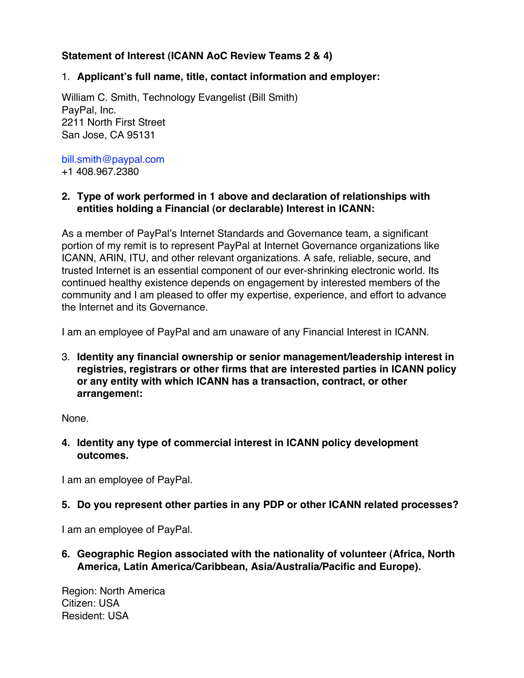# **Statement of Interest (ICANN AoC Review Teams 2 & 4)**

### 1. **Applicant's full name, title, contact information and employer:**

William C. Smith, Technology Evangelist (Bill Smith) PayPal, Inc. 2211 North First Street San Jose, CA 95131

bill.smith@paypal.com +1 408.967.2380

### **2. Type of work performed in 1 above and declaration of relationships with entities holding a Financial (or declarable) Interest in ICANN:**

As a member of PayPal's Internet Standards and Governance team, a significant portion of my remit is to represent PayPal at Internet Governance organizations like ICANN, ARIN, ITU, and other relevant organizations. A safe, reliable, secure, and trusted Internet is an essential component of our ever-shrinking electronic world. Its continued healthy existence depends on engagement by interested members of the community and I am pleased to offer my expertise, experience, and effort to advance the Internet and its Governance.

I am an employee of PayPal and am unaware of any Financial Interest in ICANN.

3. **Identity any financial ownership or senior management/leadership interest in registries, registrars or other firms that are interested parties in ICANN policy or any entity with which ICANN has a transaction, contract, or other arrangemen**t**:**

None.

**4. Identity any type of commercial interest in ICANN policy development outcomes.** 

I am an employee of PayPal.

## **5. Do you represent other parties in any PDP or other ICANN related processes?**

I am an employee of PayPal.

**6. Geographic Region associated with the nationality of volunteer (Africa, North America, Latin America/Caribbean, Asia/Australia/Pacific and Europe).**

Region: North America Citizen: USA Resident: USA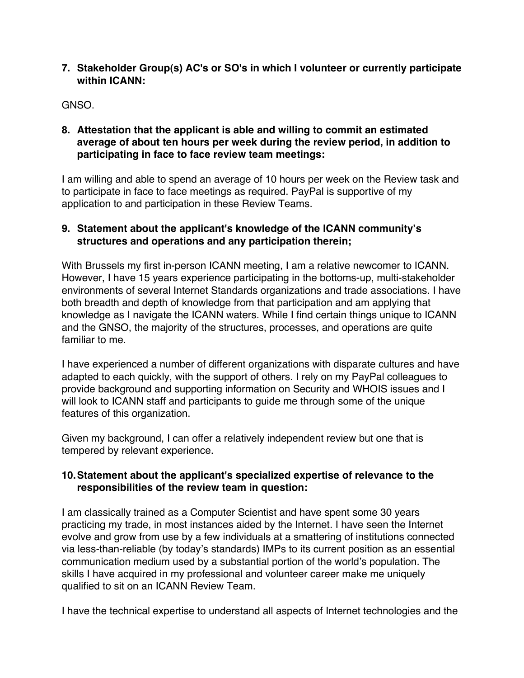#### **7. Stakeholder Group(s) AC's or SO's in which I volunteer or currently participate within ICANN:**

GNSO.

#### **8. Attestation that the applicant is able and willing to commit an estimated average of about ten hours per week during the review period, in addition to participating in face to face review team meetings:**

I am willing and able to spend an average of 10 hours per week on the Review task and to participate in face to face meetings as required. PayPal is supportive of my application to and participation in these Review Teams.

# **9. Statement about the applicant's knowledge of the ICANN community's structures and operations and any participation therein;**

With Brussels my first in-person ICANN meeting, I am a relative newcomer to ICANN. However, I have 15 years experience participating in the bottoms-up, multi-stakeholder environments of several Internet Standards organizations and trade associations. I have both breadth and depth of knowledge from that participation and am applying that knowledge as I navigate the ICANN waters. While I find certain things unique to ICANN and the GNSO, the majority of the structures, processes, and operations are quite familiar to me.

I have experienced a number of different organizations with disparate cultures and have adapted to each quickly, with the support of others. I rely on my PayPal colleagues to provide background and supporting information on Security and WHOIS issues and I will look to ICANN staff and participants to guide me through some of the unique features of this organization.

Given my background, I can offer a relatively independent review but one that is tempered by relevant experience.

## **10.Statement about the applicant's specialized expertise of relevance to the responsibilities of the review team in question:**

I am classically trained as a Computer Scientist and have spent some 30 years practicing my trade, in most instances aided by the Internet. I have seen the Internet evolve and grow from use by a few individuals at a smattering of institutions connected via less-than-reliable (by today's standards) IMPs to its current position as an essential communication medium used by a substantial portion of the world's population. The skills I have acquired in my professional and volunteer career make me uniquely qualified to sit on an ICANN Review Team.

I have the technical expertise to understand all aspects of Internet technologies and the